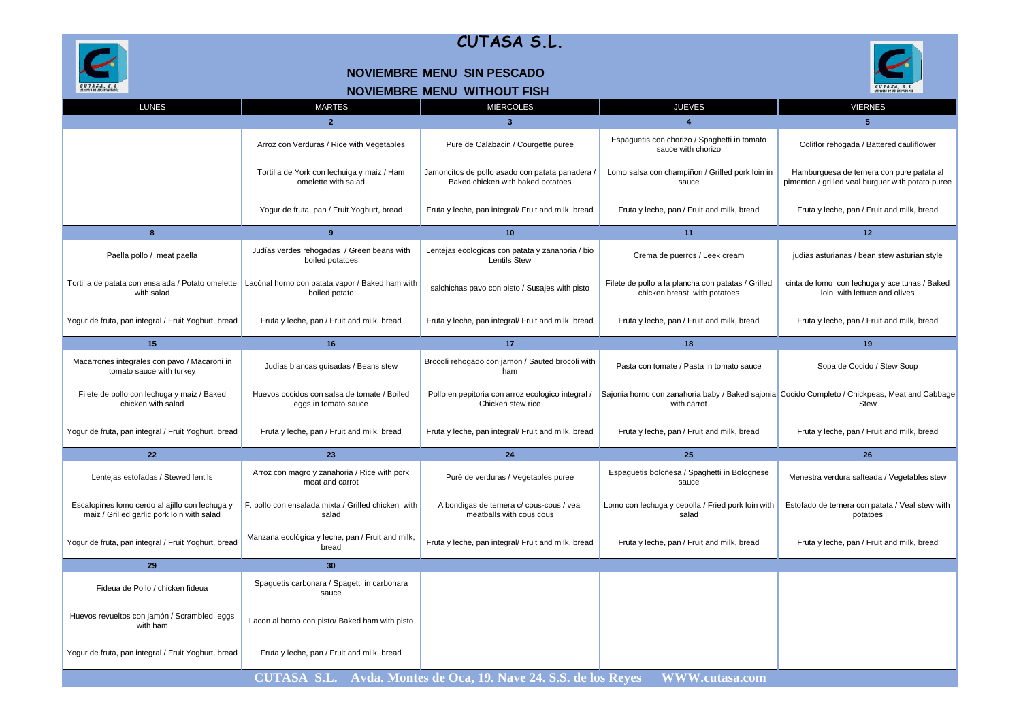

### **NOVIEMBRE MENU SIN PESCADO**





| <b>LUNES</b>                                                                                 | <b>MARTES</b>                                                       | <b>MIÉRCOLES</b>                                                                     | <b>JUEVES</b>                                                                      | <b>VIERNES</b>                                                                                                |
|----------------------------------------------------------------------------------------------|---------------------------------------------------------------------|--------------------------------------------------------------------------------------|------------------------------------------------------------------------------------|---------------------------------------------------------------------------------------------------------------|
|                                                                                              | $\overline{2}$                                                      | $\overline{3}$                                                                       | $\boldsymbol{\Lambda}$                                                             | 5.                                                                                                            |
|                                                                                              | Arroz con Verduras / Rice with Vegetables                           | Pure de Calabacin / Courgette puree                                                  | Espaguetis con chorizo / Spaghetti in tomato<br>sauce with chorizo                 | Coliflor rehogada / Battered cauliflower                                                                      |
|                                                                                              | Tortilla de York con lechuiga y maiz / Ham<br>omelette with salad   | Jamoncitos de pollo asado con patata panadera /<br>Baked chicken with baked potatoes | Lomo salsa con champiñon / Grilled pork loin in<br>sauce                           | Hamburguesa de ternera con pure patata al<br>pimenton / grilled veal burguer with potato puree                |
|                                                                                              | Yogur de fruta, pan / Fruit Yoghurt, bread                          | Fruta y leche, pan integral/ Fruit and milk, bread                                   | Fruta y leche, pan / Fruit and milk, bread                                         | Fruta y leche, pan / Fruit and milk, bread                                                                    |
| 8                                                                                            | 9                                                                   | 10                                                                                   | 11                                                                                 | 12                                                                                                            |
| Paella pollo / meat paella                                                                   | Judías verdes rehogadas / Green beans with<br>boiled potatoes       | Lentejas ecologicas con patata y zanahoria / bio<br><b>Lentils Stew</b>              | Crema de puerros / Leek cream                                                      | judias asturianas / bean stew asturian style                                                                  |
| Tortilla de patata con ensalada / Potato omelette<br>with salad                              | Lacónal horno con patata vapor / Baked ham with<br>boiled potato    | salchichas pavo con pisto / Susajes with pisto                                       | Filete de pollo a la plancha con patatas / Grilled<br>chicken breast with potatoes | cinta de Iomo con lechuga y aceitunas / Baked<br>loin with lettuce and olives                                 |
| Yogur de fruta, pan integral / Fruit Yoghurt, bread                                          | Fruta y leche, pan / Fruit and milk, bread                          | Fruta y leche, pan integral/ Fruit and milk, bread                                   | Fruta y leche, pan / Fruit and milk, bread                                         | Fruta y leche, pan / Fruit and milk, bread                                                                    |
| 15                                                                                           | 16                                                                  | 17                                                                                   | 18                                                                                 | 19                                                                                                            |
| Macarrones integrales con pavo / Macaroni in<br>tomato sauce with turkey                     | Judías blancas guisadas / Beans stew                                | Brocoli rehogado con jamon / Sauted brocoli with<br>ham                              | Pasta con tomate / Pasta in tomato sauce                                           | Sopa de Cocido / Stew Soup                                                                                    |
| Filete de pollo con lechuga y maiz / Baked<br>chicken with salad                             | Huevos cocidos con salsa de tomate / Boiled<br>eggs in tomato sauce | Pollo en pepitoria con arroz ecologico integral /<br>Chicken stew rice               | with carrot                                                                        | Sajonia horno con zanahoria baby / Baked sajonia Cocido Completo / Chickpeas, Meat and Cabbage<br><b>Stew</b> |
| Yogur de fruta, pan integral / Fruit Yoghurt, bread                                          | Fruta y leche, pan / Fruit and milk, bread                          | Fruta y leche, pan integral/ Fruit and milk, bread                                   | Fruta y leche, pan / Fruit and milk, bread                                         | Fruta y leche, pan / Fruit and milk, bread                                                                    |
| 22                                                                                           | 23                                                                  | 24                                                                                   | 25                                                                                 | 26                                                                                                            |
| Lentejas estofadas / Stewed lentils                                                          | Arroz con magro y zanahoria / Rice with pork<br>meat and carrot     | Puré de verduras / Vegetables puree                                                  | Espaguetis boloñesa / Spaghetti in Bolognese<br>sauce                              | Menestra verdura salteada / Vegetables stew                                                                   |
| Escalopines lomo cerdo al ajillo con lechuga y<br>maiz / Grilled garlic pork loin with salad | F. pollo con ensalada mixta / Grilled chicken with<br>salad         | Albondigas de ternera c/ cous-cous / veal<br>meatballs with cous cous                | Lomo con lechuga y cebolla / Fried pork loin with<br>salad                         | Estofado de ternera con patata / Veal stew with<br>potatoes                                                   |
| Yogur de fruta, pan integral / Fruit Yoghurt, bread                                          | Manzana ecológica y leche, pan / Fruit and milk,<br>bread           | Fruta y leche, pan integral/ Fruit and milk, bread                                   | Fruta y leche, pan / Fruit and milk, bread                                         | Fruta y leche, pan / Fruit and milk, bread                                                                    |
| 29                                                                                           | 30                                                                  |                                                                                      |                                                                                    |                                                                                                               |
| Fideua de Pollo / chicken fideua                                                             | Spaguetis carbonara / Spagetti in carbonara<br>sauce                |                                                                                      |                                                                                    |                                                                                                               |
| Huevos revueltos con jamón / Scrambled eggs<br>with ham                                      | Lacon al horno con pisto/ Baked ham with pisto                      |                                                                                      |                                                                                    |                                                                                                               |
| Yogur de fruta, pan integral / Fruit Yoghurt, bread                                          | Fruta y leche, pan / Fruit and milk, bread                          |                                                                                      |                                                                                    |                                                                                                               |
|                                                                                              |                                                                     | CUTASA S.L. Avda. Montes de Oca, 19. Nave 24. S.S. de los Reyes                      | WWW.cutasa.com                                                                     |                                                                                                               |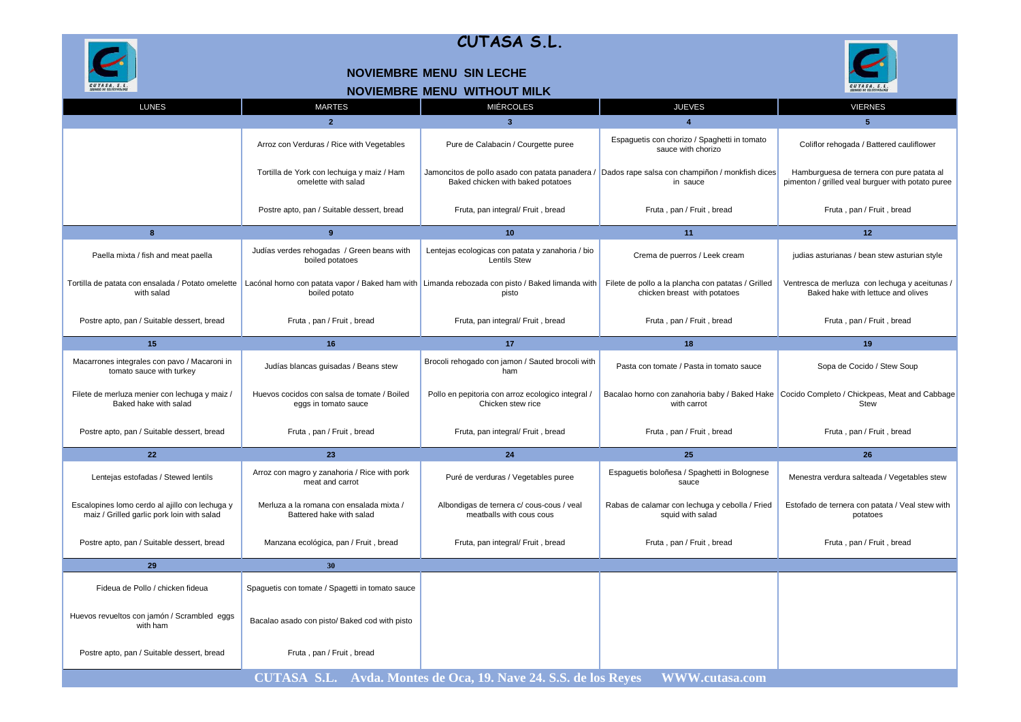

#### **NOVIEMBRE MENU SIN LECHE**



| NOVIEMBRE MENU WITHOUT MILK |
|-----------------------------|
|-----------------------------|

| <b>LUNES</b>                                                                                 | <b>MARTES</b>                                                        | <b>MIÉRCOLES</b>                                                                                         | <b>JUEVES</b>                                                                                               | <b>VIERNES</b>                                                                                      |
|----------------------------------------------------------------------------------------------|----------------------------------------------------------------------|----------------------------------------------------------------------------------------------------------|-------------------------------------------------------------------------------------------------------------|-----------------------------------------------------------------------------------------------------|
|                                                                                              | $\overline{2}$                                                       | $\overline{\mathbf{3}}$                                                                                  | $\overline{4}$                                                                                              | 5                                                                                                   |
|                                                                                              | Arroz con Verduras / Rice with Vegetables                            | Pure de Calabacin / Courgette puree                                                                      | Espaguetis con chorizo / Spaghetti in tomato<br>sauce with chorizo                                          | Coliflor rehogada / Battered cauliflower                                                            |
|                                                                                              | Tortilla de York con lechuiga y maiz / Ham<br>omelette with salad    | Baked chicken with baked potatoes                                                                        | Jamoncitos de pollo asado con patata panadera / Dados rape salsa con champiñon / monkfish dices<br>in sauce | Hamburguesa de ternera con pure patata al<br>pimenton / grilled veal burguer with potato puree      |
|                                                                                              | Postre apto, pan / Suitable dessert, bread                           | Fruta, pan integral/ Fruit, bread                                                                        | Fruta, pan / Fruit, bread                                                                                   | Fruta, pan / Fruit, bread                                                                           |
| $\bf{8}$                                                                                     | 9                                                                    | 10 <sup>1</sup>                                                                                          | 11                                                                                                          | 12 <sup>2</sup>                                                                                     |
| Paella mixta / fish and meat paella                                                          | Judías verdes rehogadas / Green beans with<br>boiled potatoes        | Lentejas ecologicas con patata y zanahoria / bio<br><b>Lentils Stew</b>                                  | Crema de puerros / Leek cream                                                                               | judias asturianas / bean stew asturian style                                                        |
| Tortilla de patata con ensalada / Potato omelette<br>with salad                              | boiled potato                                                        | Lacónal horno con patata vapor / Baked ham with Limanda rebozada con pisto / Baked limanda with<br>pisto | Filete de pollo a la plancha con patatas / Grilled<br>chicken breast with potatoes                          | Ventresca de merluza con lechuga y aceitunas /<br>Baked hake with lettuce and olives                |
| Postre apto, pan / Suitable dessert, bread                                                   | Fruta, pan / Fruit, bread                                            | Fruta, pan integral/ Fruit, bread                                                                        | Fruta, pan / Fruit, bread                                                                                   | Fruta, pan / Fruit, bread                                                                           |
| 15                                                                                           | 16                                                                   | 17 <sup>2</sup>                                                                                          | 18                                                                                                          | 19                                                                                                  |
| Macarrones integrales con pavo / Macaroni in<br>tomato sauce with turkey                     | Judías blancas guisadas / Beans stew                                 | Brocoli rehogado con jamon / Sauted brocoli with<br>ham                                                  | Pasta con tomate / Pasta in tomato sauce                                                                    | Sopa de Cocido / Stew Soup                                                                          |
| Filete de merluza menier con lechuga y maiz /<br>Baked hake with salad                       | Huevos cocidos con salsa de tomate / Boiled<br>eggs in tomato sauce  | Pollo en pepitoria con arroz ecologico integral /<br>Chicken stew rice                                   | with carrot                                                                                                 | Bacalao horno con zanahoria baby / Baked Hake Cocido Completo / Chickpeas, Meat and Cabbage<br>Stew |
| Postre apto, pan / Suitable dessert, bread                                                   | Fruta, pan / Fruit, bread                                            | Fruta, pan integral/ Fruit, bread                                                                        | Fruta, pan / Fruit, bread                                                                                   | Fruta, pan / Fruit, bread                                                                           |
| 22                                                                                           | 23                                                                   | 24                                                                                                       | 25                                                                                                          | 26                                                                                                  |
| Lentejas estofadas / Stewed lentils                                                          | Arroz con magro y zanahoria / Rice with pork<br>meat and carrot      | Puré de verduras / Vegetables puree                                                                      | Espaguetis boloñesa / Spaghetti in Bolognese<br>sauce                                                       | Menestra verdura salteada / Vegetables stew                                                         |
| Escalopines lomo cerdo al ajillo con lechuga y<br>maiz / Grilled garlic pork loin with salad | Merluza a la romana con ensalada mixta /<br>Battered hake with salad | Albondigas de ternera c/ cous-cous / veal<br>meatballs with cous cous                                    | Rabas de calamar con lechuga y cebolla / Fried<br>squid with salad                                          | Estofado de ternera con patata / Veal stew with<br>potatoes                                         |
| Postre apto, pan / Suitable dessert, bread                                                   | Manzana ecológica, pan / Fruit, bread                                | Fruta, pan integral/ Fruit, bread                                                                        | Fruta, pan / Fruit, bread                                                                                   | Fruta, pan / Fruit, bread                                                                           |
| 29                                                                                           | 30                                                                   |                                                                                                          |                                                                                                             |                                                                                                     |
| Fideua de Pollo / chicken fideua                                                             | Spaguetis con tomate / Spagetti in tomato sauce                      |                                                                                                          |                                                                                                             |                                                                                                     |
| Huevos revueltos con jamón / Scrambled eggs<br>with ham                                      | Bacalao asado con pisto/ Baked cod with pisto                        |                                                                                                          |                                                                                                             |                                                                                                     |
| Postre apto, pan / Suitable dessert, bread                                                   | Fruta, pan / Fruit, bread                                            |                                                                                                          |                                                                                                             |                                                                                                     |
|                                                                                              |                                                                      | CUTASA S.L. Avda. Montes de Oca, 19. Nave 24. S.S. de los Reyes                                          | <b>WWW.cutasa.com</b>                                                                                       |                                                                                                     |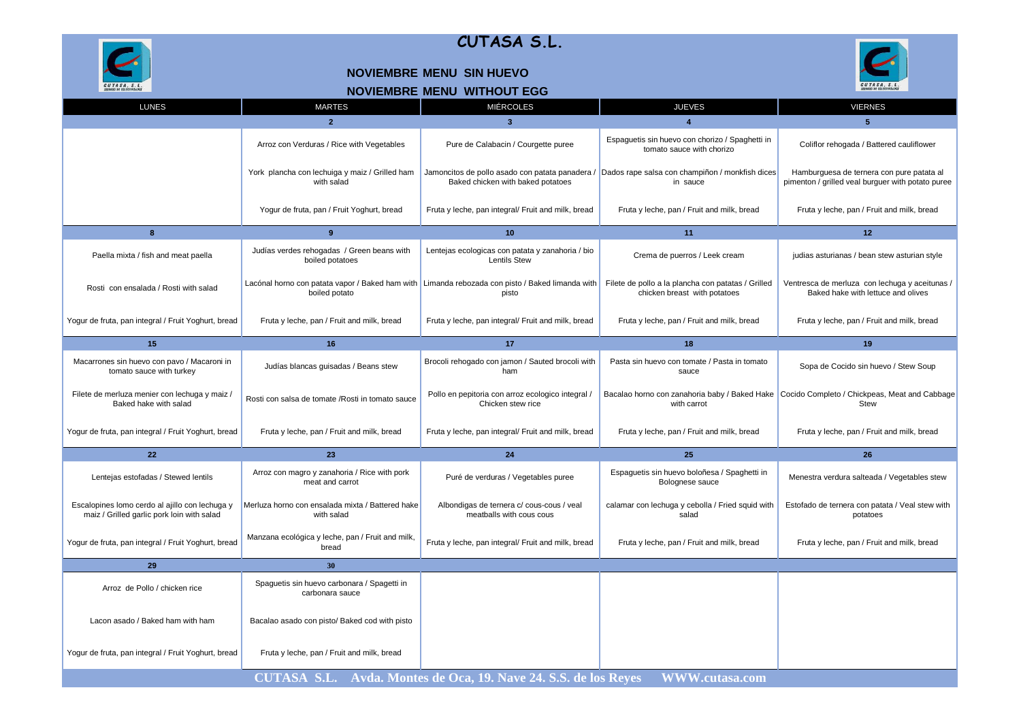

#### **NOVIEMBRE MENU SIN HUEVO**

# CUTASA, S.L.

| <b>NOVIEMBRE MENU WITHOUT EGG</b> |  |  |
|-----------------------------------|--|--|
|                                   |  |  |

| <b>LUNES</b>                                                                                 | <b>MARTES</b>                                                   | <b>MIÉRCOLES</b>                                                                                         | <b>JUEVES</b>                                                                                               | <b>VIERNES</b>                                                                                 |
|----------------------------------------------------------------------------------------------|-----------------------------------------------------------------|----------------------------------------------------------------------------------------------------------|-------------------------------------------------------------------------------------------------------------|------------------------------------------------------------------------------------------------|
|                                                                                              | $\overline{2}$                                                  | $\overline{3}$                                                                                           | $\boldsymbol{\Lambda}$                                                                                      | 5                                                                                              |
|                                                                                              | Arroz con Verduras / Rice with Vegetables                       | Pure de Calabacin / Courgette puree                                                                      | Espaguetis sin huevo con chorizo / Spaghetti in<br>tomato sauce with chorizo                                | Coliflor rehogada / Battered cauliflower                                                       |
|                                                                                              | York plancha con lechuiga y maiz / Grilled ham<br>with salad    | Baked chicken with baked potatoes                                                                        | Jamoncitos de pollo asado con patata panadera / Dados rape salsa con champiñon / monkfish dices<br>in sauce | Hamburguesa de ternera con pure patata al<br>pimenton / grilled veal burguer with potato puree |
|                                                                                              | Yogur de fruta, pan / Fruit Yoghurt, bread                      | Fruta y leche, pan integral/ Fruit and milk, bread                                                       | Fruta y leche, pan / Fruit and milk, bread                                                                  | Fruta y leche, pan / Fruit and milk, bread                                                     |
| 8                                                                                            | 9                                                               | 10                                                                                                       | 11                                                                                                          | 12 <sup>2</sup>                                                                                |
| Paella mixta / fish and meat paella                                                          | Judías verdes rehogadas / Green beans with<br>boiled potatoes   | Lentejas ecologicas con patata y zanahoria / bio<br><b>Lentils Stew</b>                                  | Crema de puerros / Leek cream                                                                               | judias asturianas / bean stew asturian style                                                   |
| Rosti con ensalada / Rosti with salad                                                        | boiled potato                                                   | Lacónal horno con patata vapor / Baked ham with Limanda rebozada con pisto / Baked limanda with<br>pisto | Filete de pollo a la plancha con patatas / Grilled<br>chicken breast with potatoes                          | Ventresca de merluza con lechuga y aceitunas /<br>Baked hake with lettuce and olives           |
| Yogur de fruta, pan integral / Fruit Yoghurt, bread                                          | Fruta y leche, pan / Fruit and milk, bread                      | Fruta y leche, pan integral/ Fruit and milk, bread                                                       | Fruta y leche, pan / Fruit and milk, bread                                                                  | Fruta y leche, pan / Fruit and milk, bread                                                     |
| 15                                                                                           | 16                                                              | 17                                                                                                       | 18                                                                                                          | 19                                                                                             |
| Macarrones sin huevo con pavo / Macaroni in<br>tomato sauce with turkey                      | Judías blancas guisadas / Beans stew                            | Brocoli rehogado con jamon / Sauted brocoli with<br>ham                                                  | Pasta sin huevo con tomate / Pasta in tomato<br>sauce                                                       | Sopa de Cocido sin huevo / Stew Soup                                                           |
| Filete de merluza menier con lechuga y maiz /<br>Baked hake with salad                       | Rosti con salsa de tomate / Rosti in tomato sauce               | Pollo en pepitoria con arroz ecologico integral /<br>Chicken stew rice                                   | Bacalao horno con zanahoria baby / Baked Hake<br>with carrot                                                | Cocido Completo / Chickpeas, Meat and Cabbage<br><b>Stew</b>                                   |
| Yogur de fruta, pan integral / Fruit Yoghurt, bread                                          | Fruta y leche, pan / Fruit and milk, bread                      | Fruta y leche, pan integral/ Fruit and milk, bread                                                       | Fruta y leche, pan / Fruit and milk, bread                                                                  | Fruta y leche, pan / Fruit and milk, bread                                                     |
| 22                                                                                           | 23                                                              | 24                                                                                                       | 25                                                                                                          | 26                                                                                             |
| Lentejas estofadas / Stewed lentils                                                          | Arroz con magro y zanahoria / Rice with pork<br>meat and carrot | Puré de verduras / Vegetables puree                                                                      | Espaguetis sin huevo boloñesa / Spaghetti in<br>Bolognese sauce                                             | Menestra verdura salteada / Vegetables stew                                                    |
| Escalopines lomo cerdo al ajillo con lechuga y<br>maiz / Grilled garlic pork loin with salad | Merluza horno con ensalada mixta / Battered hake<br>with salad  | Albondigas de ternera c/ cous-cous / veal<br>meatballs with cous cous                                    | calamar con lechuga y cebolla / Fried squid with<br>salad                                                   | Estofado de ternera con patata / Veal stew with<br>potatoes                                    |
| Yogur de fruta, pan integral / Fruit Yoghurt, bread                                          | Manzana ecológica y leche, pan / Fruit and milk,<br>bread       | Fruta y leche, pan integral/ Fruit and milk, bread                                                       | Fruta y leche, pan / Fruit and milk, bread                                                                  | Fruta y leche, pan / Fruit and milk, bread                                                     |
| 29                                                                                           | 30                                                              |                                                                                                          |                                                                                                             |                                                                                                |
| Arroz de Pollo / chicken rice                                                                | Spaguetis sin huevo carbonara / Spagetti in<br>carbonara sauce  |                                                                                                          |                                                                                                             |                                                                                                |
| Lacon asado / Baked ham with ham                                                             | Bacalao asado con pisto/ Baked cod with pisto                   |                                                                                                          |                                                                                                             |                                                                                                |
| Yogur de fruta, pan integral / Fruit Yoghurt, bread                                          | Fruta y leche, pan / Fruit and milk, bread                      |                                                                                                          |                                                                                                             |                                                                                                |
|                                                                                              |                                                                 | <b>CUTASA S.L.</b> Avda. Montes de Oca, 19. Nave 24. S.S. de los Reyes                                   | <b>WWW.cutasa.com</b>                                                                                       |                                                                                                |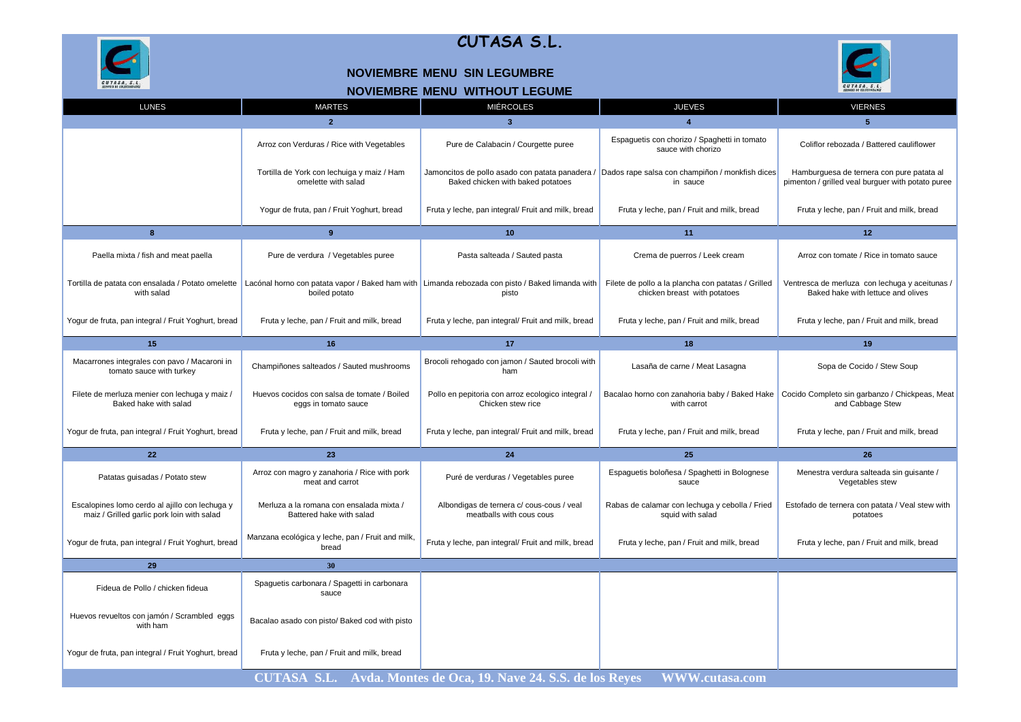



 $\overline{\mathcal{L}}$ 

CUTASA, S.L.



#### **NOVIEMBRE MENU SIN LEGUMBRE**

#### **NOVIEMBRE MENU WITHOUT LEGUME**

| <b>LUNES</b>                                                                                 | <b>MARTES</b>                                                        | <b>MIÉRCOLES</b>                                                                                         | <b>JUEVES</b>                                                                                               | <b>VIERNES</b>                                                                                 |
|----------------------------------------------------------------------------------------------|----------------------------------------------------------------------|----------------------------------------------------------------------------------------------------------|-------------------------------------------------------------------------------------------------------------|------------------------------------------------------------------------------------------------|
|                                                                                              | $\overline{2}$                                                       | $\overline{3}$                                                                                           |                                                                                                             | $\overline{5}$                                                                                 |
|                                                                                              | Arroz con Verduras / Rice with Vegetables                            | Pure de Calabacin / Courgette puree                                                                      | Espaguetis con chorizo / Spaghetti in tomato<br>sauce with chorizo                                          | Coliflor rebozada / Battered cauliflower                                                       |
|                                                                                              | Tortilla de York con lechuiga y maiz / Ham<br>omelette with salad    | Baked chicken with baked potatoes                                                                        | Jamoncitos de pollo asado con patata panadera / Dados rape salsa con champiñon / monkfish dices<br>in sauce | Hamburguesa de ternera con pure patata al<br>pimenton / grilled veal burguer with potato puree |
|                                                                                              | Yogur de fruta, pan / Fruit Yoghurt, bread                           | Fruta y leche, pan integral/ Fruit and milk, bread                                                       | Fruta y leche, pan / Fruit and milk, bread                                                                  | Fruta y leche, pan / Fruit and milk, bread                                                     |
| 8                                                                                            | 9                                                                    | 10                                                                                                       | 11                                                                                                          | 12 <sup>2</sup>                                                                                |
| Paella mixta / fish and meat paella                                                          | Pure de verdura / Vegetables puree                                   | Pasta salteada / Sauted pasta                                                                            | Crema de puerros / Leek cream                                                                               | Arroz con tomate / Rice in tomato sauce                                                        |
| Tortilla de patata con ensalada / Potato omelette<br>with salad                              | boiled potato                                                        | Lacónal horno con patata vapor / Baked ham with Limanda rebozada con pisto / Baked limanda with<br>pisto | Filete de pollo a la plancha con patatas / Grilled<br>chicken breast with potatoes                          | Ventresca de merluza con lechuga y aceitunas /<br>Baked hake with lettuce and olives           |
| Yogur de fruta, pan integral / Fruit Yoghurt, bread                                          | Fruta y leche, pan / Fruit and milk, bread                           | Fruta y leche, pan integral/ Fruit and milk, bread                                                       | Fruta y leche, pan / Fruit and milk, bread                                                                  | Fruta y leche, pan / Fruit and milk, bread                                                     |
| 15                                                                                           | 16                                                                   | 17                                                                                                       | 18                                                                                                          | 19                                                                                             |
| Macarrones integrales con pavo / Macaroni in<br>tomato sauce with turkey                     | Champiñones salteados / Sauted mushrooms                             | Brocoli rehogado con jamon / Sauted brocoli with<br>ham                                                  | Lasaña de carne / Meat Lasagna                                                                              | Sopa de Cocido / Stew Soup                                                                     |
| Filete de merluza menier con lechuga y maiz /<br>Baked hake with salad                       | Huevos cocidos con salsa de tomate / Boiled<br>eggs in tomato sauce  | Pollo en pepitoria con arroz ecologico integral /<br>Chicken stew rice                                   | Bacalao horno con zanahoria baby / Baked Hake<br>with carrot                                                | Cocido Completo sin garbanzo / Chickpeas, Meat<br>and Cabbage Stew                             |
| Yogur de fruta, pan integral / Fruit Yoghurt, bread                                          | Fruta y leche, pan / Fruit and milk, bread                           | Fruta y leche, pan integral/ Fruit and milk, bread                                                       | Fruta y leche, pan / Fruit and milk, bread                                                                  | Fruta y leche, pan / Fruit and milk, bread                                                     |
| 22                                                                                           | 23                                                                   | 24                                                                                                       | 25                                                                                                          | 26                                                                                             |
| Patatas guisadas / Potato stew                                                               | Arroz con magro y zanahoria / Rice with pork<br>meat and carrot      | Puré de verduras / Vegetables puree                                                                      | Espaguetis boloñesa / Spaghetti in Bolognese<br>sauce                                                       | Menestra verdura salteada sin guisante /<br>Vegetables stew                                    |
| Escalopines lomo cerdo al ajillo con lechuga y<br>maiz / Grilled garlic pork loin with salad | Merluza a la romana con ensalada mixta /<br>Battered hake with salad | Albondigas de ternera c/ cous-cous / veal<br>meatballs with cous cous                                    | Rabas de calamar con lechuga y cebolla / Fried<br>squid with salad                                          | Estofado de ternera con patata / Veal stew with<br>potatoes                                    |
| Yogur de fruta, pan integral / Fruit Yoghurt, bread                                          | Manzana ecológica y leche, pan / Fruit and milk,<br>bread            | Fruta y leche, pan integral/ Fruit and milk, bread                                                       | Fruta y leche, pan / Fruit and milk, bread                                                                  | Fruta y leche, pan / Fruit and milk, bread                                                     |
| 29                                                                                           | 30                                                                   |                                                                                                          |                                                                                                             |                                                                                                |
| Fideua de Pollo / chicken fideua                                                             | Spaguetis carbonara / Spagetti in carbonara<br>sauce                 |                                                                                                          |                                                                                                             |                                                                                                |
| Huevos revueltos con jamón / Scrambled eggs<br>with ham                                      | Bacalao asado con pisto/ Baked cod with pisto                        |                                                                                                          |                                                                                                             |                                                                                                |
| Yogur de fruta, pan integral / Fruit Yoghurt, bread                                          | Fruta y leche, pan / Fruit and milk, bread                           |                                                                                                          |                                                                                                             |                                                                                                |
|                                                                                              |                                                                      | CUTASA S.L. Avda. Montes de Oca, 19. Nave 24. S.S. de los Reyes                                          | <b>WWW.cutasa.com</b>                                                                                       |                                                                                                |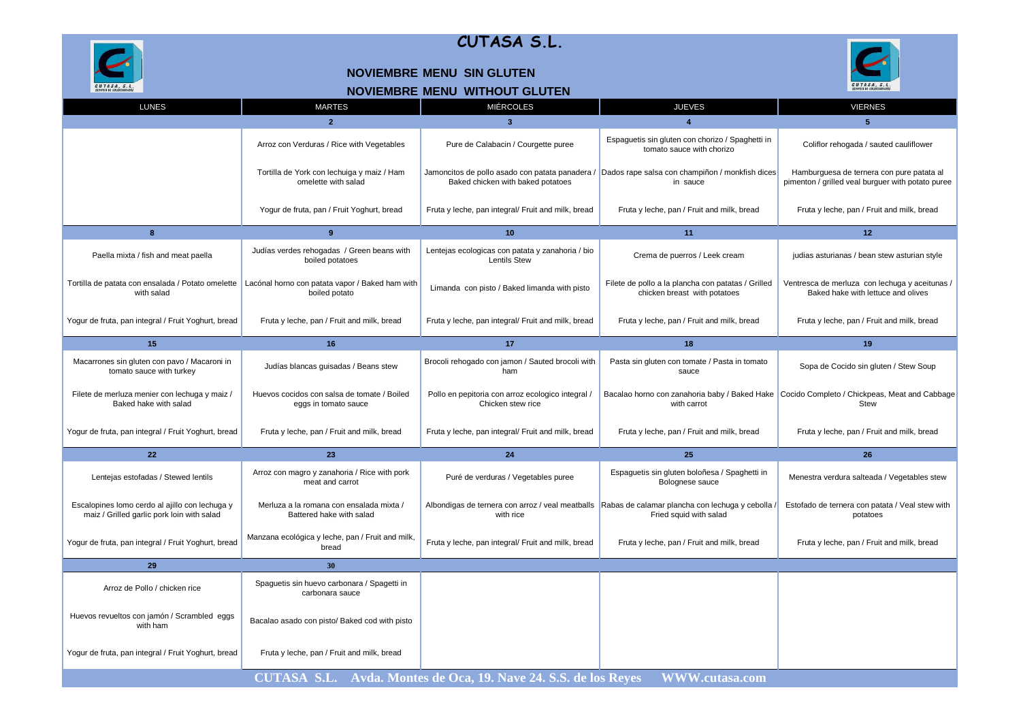

#### **NOVIEMBRE MENU SIN GLUTEN**



## **NOVIEMBRE MENU WITHOUT GLUTEN**

| <b>LUNES</b>                                                                                 | <b>MARTES</b>                                                        | <b>MIÉRCOLES</b>                                                        | <b>JUEVES</b>                                                                                                               | <b>VIERNES</b>                                                                                 |
|----------------------------------------------------------------------------------------------|----------------------------------------------------------------------|-------------------------------------------------------------------------|-----------------------------------------------------------------------------------------------------------------------------|------------------------------------------------------------------------------------------------|
|                                                                                              | $\overline{2}$                                                       | $\overline{3}$                                                          | $\boldsymbol{\Lambda}$                                                                                                      | $\overline{5}$                                                                                 |
|                                                                                              | Arroz con Verduras / Rice with Vegetables                            | Pure de Calabacin / Courgette puree                                     | Espaguetis sin gluten con chorizo / Spaghetti in<br>tomato sauce with chorizo                                               | Coliflor rehogada / sauted cauliflower                                                         |
|                                                                                              | Tortilla de York con lechuiga y maiz / Ham<br>omelette with salad    | Baked chicken with baked potatoes                                       | Jamoncitos de pollo asado con patata panadera / Dados rape salsa con champiñon / monkfish dices<br>in sauce                 | Hamburguesa de ternera con pure patata al<br>pimenton / grilled veal burguer with potato puree |
|                                                                                              | Yogur de fruta, pan / Fruit Yoghurt, bread                           | Fruta y leche, pan integral/ Fruit and milk, bread                      | Fruta y leche, pan / Fruit and milk, bread                                                                                  | Fruta y leche, pan / Fruit and milk, bread                                                     |
| 8                                                                                            | 9                                                                    | 10                                                                      | 11                                                                                                                          | 12                                                                                             |
| Paella mixta / fish and meat paella                                                          | Judías verdes rehogadas / Green beans with<br>boiled potatoes        | Lentejas ecologicas con patata y zanahoria / bio<br><b>Lentils Stew</b> | Crema de puerros / Leek cream                                                                                               | judias asturianas / bean stew asturian style                                                   |
| Tortilla de patata con ensalada / Potato omelette<br>with salad                              | Lacónal horno con patata vapor / Baked ham with<br>boiled potato     | Limanda con pisto / Baked limanda with pisto                            | Filete de pollo a la plancha con patatas / Grilled<br>chicken breast with potatoes                                          | Ventresca de merluza con lechuga y aceitunas /<br>Baked hake with lettuce and olives           |
| Yogur de fruta, pan integral / Fruit Yoghurt, bread                                          | Fruta y leche, pan / Fruit and milk, bread                           | Fruta y leche, pan integral/ Fruit and milk, bread                      | Fruta y leche, pan / Fruit and milk, bread                                                                                  | Fruta y leche, pan / Fruit and milk, bread                                                     |
| 15                                                                                           | 16                                                                   | 17                                                                      | 18                                                                                                                          | 19                                                                                             |
| Macarrones sin gluten con pavo / Macaroni in<br>tomato sauce with turkey                     | Judías blancas guisadas / Beans stew                                 | Brocoli rehogado con jamon / Sauted brocoli with<br>ham                 | Pasta sin gluten con tomate / Pasta in tomato<br>sauce                                                                      | Sopa de Cocido sin gluten / Stew Soup                                                          |
| Filete de merluza menier con lechuga y maiz /<br>Baked hake with salad                       | Huevos cocidos con salsa de tomate / Boiled<br>eggs in tomato sauce  | Pollo en pepitoria con arroz ecologico integral /<br>Chicken stew rice  | Bacalao horno con zanahoria baby / Baked Hake<br>with carrot                                                                | Cocido Completo / Chickpeas, Meat and Cabbage<br><b>Stew</b>                                   |
| Yogur de fruta, pan integral / Fruit Yoghurt, bread                                          | Fruta y leche, pan / Fruit and milk, bread                           | Fruta y leche, pan integral/ Fruit and milk, bread                      | Fruta y leche, pan / Fruit and milk, bread                                                                                  | Fruta y leche, pan / Fruit and milk, bread                                                     |
| 22                                                                                           | 23                                                                   | 24                                                                      | 25                                                                                                                          | 26                                                                                             |
| Lentejas estofadas / Stewed lentils                                                          | Arroz con magro y zanahoria / Rice with pork<br>meat and carrot      | Puré de verduras / Vegetables puree                                     | Espaguetis sin gluten boloñesa / Spaghetti in<br>Bolognese sauce                                                            | Menestra verdura salteada / Vegetables stew                                                    |
| Escalopines lomo cerdo al ajillo con lechuga y<br>maiz / Grilled garlic pork loin with salad | Merluza a la romana con ensalada mixta /<br>Battered hake with salad | with rice                                                               | Albondigas de ternera con arroz / veal meatballs Rabas de calamar plancha con lechuga y cebolla /<br>Fried squid with salad | Estofado de ternera con patata / Veal stew with<br>potatoes                                    |
| Yogur de fruta, pan integral / Fruit Yoghurt, bread                                          | Manzana ecológica y leche, pan / Fruit and milk,<br>bread            | Fruta y leche, pan integral/ Fruit and milk, bread                      | Fruta y leche, pan / Fruit and milk, bread                                                                                  | Fruta y leche, pan / Fruit and milk, bread                                                     |
| 29                                                                                           | 30                                                                   |                                                                         |                                                                                                                             |                                                                                                |
| Arroz de Pollo / chicken rice                                                                | Spaguetis sin huevo carbonara / Spagetti in<br>carbonara sauce       |                                                                         |                                                                                                                             |                                                                                                |
| Huevos revueltos con jamón / Scrambled eggs<br>with ham                                      | Bacalao asado con pisto/ Baked cod with pisto                        |                                                                         |                                                                                                                             |                                                                                                |
| Yogur de fruta, pan integral / Fruit Yoghurt, bread                                          | Fruta y leche, pan / Fruit and milk, bread                           |                                                                         |                                                                                                                             |                                                                                                |
| CUTASA S.L. Avda. Montes de Oca, 19. Nave 24. S.S. de los Reyes<br>WWW.cutasa.com            |                                                                      |                                                                         |                                                                                                                             |                                                                                                |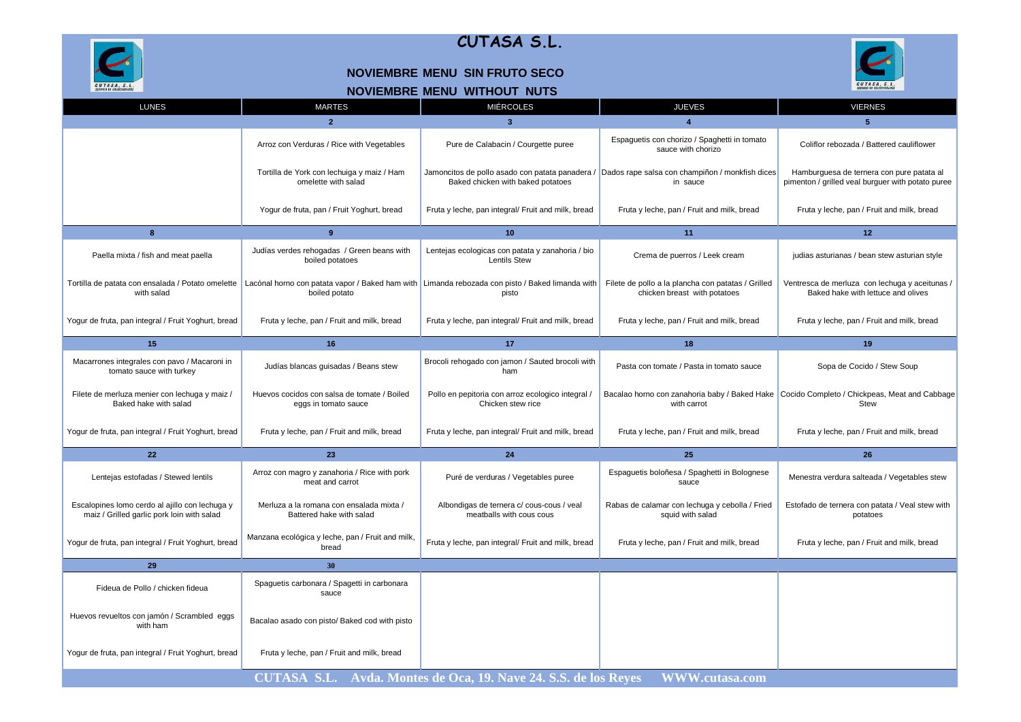

#### **NOVIEMBRE MENU SIN FRUTO SECO**



### **NOVIEMBRE MENU WITHOUT NUTS**

| <b>LUNES</b>                                                                                 | <b>MARTES</b>                                                        | <b>MIÉRCOLES</b>                                                                                         | <b>JUEVES</b>                                                                                               | <b>VIERNES</b>                                                                                 |
|----------------------------------------------------------------------------------------------|----------------------------------------------------------------------|----------------------------------------------------------------------------------------------------------|-------------------------------------------------------------------------------------------------------------|------------------------------------------------------------------------------------------------|
|                                                                                              | $\overline{2}$                                                       | $\overline{\mathbf{3}}$                                                                                  |                                                                                                             | 5                                                                                              |
|                                                                                              | Arroz con Verduras / Rice with Vegetables                            | Pure de Calabacin / Courgette puree                                                                      | Espaguetis con chorizo / Spaghetti in tomato<br>sauce with chorizo                                          | Coliflor rebozada / Battered cauliflower                                                       |
|                                                                                              | Tortilla de York con lechuiga y maiz / Ham<br>omelette with salad    | Baked chicken with baked potatoes                                                                        | Jamoncitos de pollo asado con patata panadera / Dados rape salsa con champiñon / monkfish dices<br>in sauce | Hamburguesa de ternera con pure patata al<br>pimenton / grilled veal burguer with potato puree |
|                                                                                              | Yogur de fruta, pan / Fruit Yoghurt, bread                           | Fruta y leche, pan integral/ Fruit and milk, bread                                                       | Fruta y leche, pan / Fruit and milk, bread                                                                  | Fruta y leche, pan / Fruit and milk, bread                                                     |
| 8                                                                                            | 9                                                                    | 10                                                                                                       | 11                                                                                                          | 12 <sup>2</sup>                                                                                |
| Paella mixta / fish and meat paella                                                          | Judías verdes rehogadas / Green beans with<br>boiled potatoes        | Lentejas ecologicas con patata y zanahoria / bio<br><b>Lentils Stew</b>                                  | Crema de puerros / Leek cream                                                                               | judias asturianas / bean stew asturian style                                                   |
| Tortilla de patata con ensalada / Potato omelette<br>with salad                              | boiled potato                                                        | Lacónal horno con patata vapor / Baked ham with Limanda rebozada con pisto / Baked limanda with<br>pisto | Filete de pollo a la plancha con patatas / Grilled<br>chicken breast with potatoes                          | Ventresca de merluza con lechuga y aceitunas /<br>Baked hake with lettuce and olives           |
| Yogur de fruta, pan integral / Fruit Yoghurt, bread                                          | Fruta y leche, pan / Fruit and milk, bread                           | Fruta y leche, pan integral/ Fruit and milk, bread                                                       | Fruta y leche, pan / Fruit and milk, bread                                                                  | Fruta y leche, pan / Fruit and milk, bread                                                     |
| 15                                                                                           | 16                                                                   | 17                                                                                                       | 18                                                                                                          | 19                                                                                             |
| Macarrones integrales con pavo / Macaroni in<br>tomato sauce with turkey                     | Judías blancas guisadas / Beans stew                                 | Brocoli rehogado con jamon / Sauted brocoli with<br>ham                                                  | Pasta con tomate / Pasta in tomato sauce                                                                    | Sopa de Cocido / Stew Soup                                                                     |
| Filete de merluza menier con lechuga y maiz /<br>Baked hake with salad                       | Huevos cocidos con salsa de tomate / Boiled<br>eggs in tomato sauce  | Pollo en pepitoria con arroz ecologico integral /<br>Chicken stew rice                                   | Bacalao horno con zanahoria baby / Baked Hake<br>with carrot                                                | Cocido Completo / Chickpeas, Meat and Cabbage<br><b>Stew</b>                                   |
| Yogur de fruta, pan integral / Fruit Yoghurt, bread                                          | Fruta y leche, pan / Fruit and milk, bread                           | Fruta y leche, pan integral/ Fruit and milk, bread                                                       | Fruta y leche, pan / Fruit and milk, bread                                                                  | Fruta y leche, pan / Fruit and milk, bread                                                     |
| 22                                                                                           | 23                                                                   | 24                                                                                                       | 25                                                                                                          | 26                                                                                             |
| Lentejas estofadas / Stewed lentils                                                          | Arroz con magro y zanahoria / Rice with pork<br>meat and carrot      | Puré de verduras / Vegetables puree                                                                      | Espaguetis boloñesa / Spaghetti in Bolognese<br>sauce                                                       | Menestra verdura salteada / Vegetables stew                                                    |
| Escalopines lomo cerdo al ajillo con lechuga y<br>maiz / Grilled garlic pork loin with salad | Merluza a la romana con ensalada mixta /<br>Battered hake with salad | Albondigas de ternera c/ cous-cous / veal<br>meatballs with cous cous                                    | Rabas de calamar con lechuga y cebolla / Fried<br>squid with salad                                          | Estofado de ternera con patata / Veal stew with<br>potatoes                                    |
| Yogur de fruta, pan integral / Fruit Yoghurt, bread                                          | Manzana ecológica y leche, pan / Fruit and milk,<br>bread            | Fruta y leche, pan integral/ Fruit and milk, bread                                                       | Fruta y leche, pan / Fruit and milk, bread                                                                  | Fruta y leche, pan / Fruit and milk, bread                                                     |
| 29                                                                                           | 30                                                                   |                                                                                                          |                                                                                                             |                                                                                                |
| Fideua de Pollo / chicken fideua                                                             | Spaguetis carbonara / Spagetti in carbonara<br>sauce                 |                                                                                                          |                                                                                                             |                                                                                                |
| Huevos revueltos con jamón / Scrambled eggs<br>with ham                                      | Bacalao asado con pisto/ Baked cod with pisto                        |                                                                                                          |                                                                                                             |                                                                                                |
| Yogur de fruta, pan integral / Fruit Yoghurt, bread                                          | Fruta y leche, pan / Fruit and milk, bread                           |                                                                                                          |                                                                                                             |                                                                                                |
|                                                                                              |                                                                      | CUTASA S.L. Avda. Montes de Oca, 19. Nave 24. S.S. de los Reyes                                          | <b>WWW.cutasa.com</b>                                                                                       |                                                                                                |